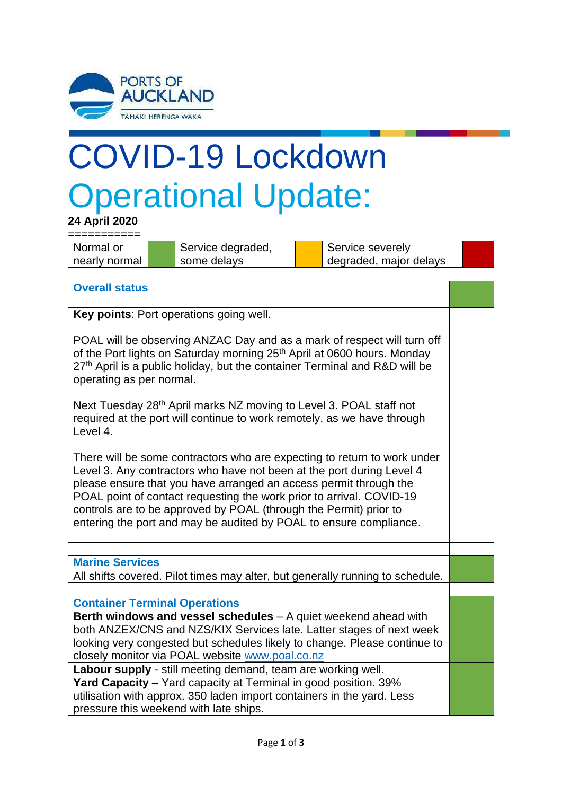

## COVID-19 Lockdown Operational Update:

**24 April 2020**

| Normal or     | Service degraded, | <b>, Service severely</b> |  |
|---------------|-------------------|---------------------------|--|
| nearly normal | some delays       | degraded, major delays    |  |

## **Overall status**

**Key points**: Port operations going well.

POAL will be observing ANZAC Day and as a mark of respect will turn off of the Port lights on Saturday morning 25<sup>th</sup> April at 0600 hours. Monday  $27<sup>th</sup>$  April is a public holiday, but the container Terminal and R&D will be operating as per normal.

Next Tuesday 28<sup>th</sup> April marks NZ moving to Level 3. POAL staff not required at the port will continue to work remotely, as we have through Level 4.

There will be some contractors who are expecting to return to work under Level 3. Any contractors who have not been at the port during Level 4 please ensure that you have arranged an access permit through the POAL point of contact requesting the work prior to arrival. COVID-19 controls are to be approved by POAL (through the Permit) prior to entering the port and may be audited by POAL to ensure compliance.

**Marine Services**

All shifts covered. Pilot times may alter, but generally running to schedule.

## **Container Terminal Operations**

**Berth windows and vessel schedules** – A quiet weekend ahead with both ANZEX/CNS and NZS/KIX Services late. Latter stages of next week looking very congested but schedules likely to change. Please continue to closely monitor via POAL website [www.poal.co.nz](http://www.poal.co.nz/)

**Labour supply** - still meeting demand, team are working well.

**Yard Capacity** – Yard capacity at Terminal in good position. 39% utilisation with approx. 350 laden import containers in the yard. Less pressure this weekend with late ships.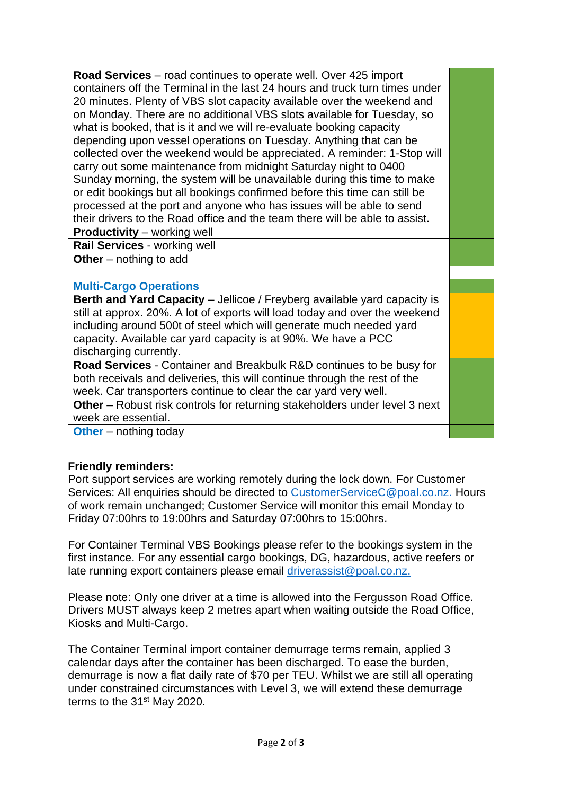| Road Services – road continues to operate well. Over 425 import                   |  |  |  |  |
|-----------------------------------------------------------------------------------|--|--|--|--|
| containers off the Terminal in the last 24 hours and truck turn times under       |  |  |  |  |
| 20 minutes. Plenty of VBS slot capacity available over the weekend and            |  |  |  |  |
| on Monday. There are no additional VBS slots available for Tuesday, so            |  |  |  |  |
| what is booked, that is it and we will re-evaluate booking capacity               |  |  |  |  |
| depending upon vessel operations on Tuesday. Anything that can be                 |  |  |  |  |
| collected over the weekend would be appreciated. A reminder: 1-Stop will          |  |  |  |  |
| carry out some maintenance from midnight Saturday night to 0400                   |  |  |  |  |
| Sunday morning, the system will be unavailable during this time to make           |  |  |  |  |
| or edit bookings but all bookings confirmed before this time can still be         |  |  |  |  |
| processed at the port and anyone who has issues will be able to send              |  |  |  |  |
| their drivers to the Road office and the team there will be able to assist.       |  |  |  |  |
| <b>Productivity</b> – working well                                                |  |  |  |  |
| Rail Services - working well                                                      |  |  |  |  |
| Other $-$ nothing to add                                                          |  |  |  |  |
|                                                                                   |  |  |  |  |
| <b>Multi-Cargo Operations</b>                                                     |  |  |  |  |
| Berth and Yard Capacity - Jellicoe / Freyberg available yard capacity is          |  |  |  |  |
| still at approx. 20%. A lot of exports will load today and over the weekend       |  |  |  |  |
| including around 500t of steel which will generate much needed yard               |  |  |  |  |
| capacity. Available car yard capacity is at 90%. We have a PCC                    |  |  |  |  |
| discharging currently.                                                            |  |  |  |  |
| Road Services - Container and Breakbulk R&D continues to be busy for              |  |  |  |  |
| both receivals and deliveries, this will continue through the rest of the         |  |  |  |  |
|                                                                                   |  |  |  |  |
| week. Car transporters continue to clear the car yard very well.                  |  |  |  |  |
| <b>Other</b> – Robust risk controls for returning stakeholders under level 3 next |  |  |  |  |
| week are essential.                                                               |  |  |  |  |

## **Friendly reminders:**

Port support services are working remotely during the lock down. For Customer Services: All enquiries should be directed to [CustomerServiceC@poal.co.nz.](mailto:CustomerServiceC@poal.co.nz) Hours of work remain unchanged; Customer Service will monitor this email Monday to Friday 07:00hrs to 19:00hrs and Saturday 07:00hrs to 15:00hrs.

For Container Terminal VBS Bookings please refer to the bookings system in the first instance. For any essential cargo bookings, DG, hazardous, active reefers or late running export containers please email [driverassist@poal.co.nz.](mailto:driverassist@poal.co.nz)

Please note: Only one driver at a time is allowed into the Fergusson Road Office. Drivers MUST always keep 2 metres apart when waiting outside the Road Office, Kiosks and Multi-Cargo.

The Container Terminal import container demurrage terms remain, applied 3 calendar days after the container has been discharged. To ease the burden, demurrage is now a flat daily rate of \$70 per TEU. Whilst we are still all operating under constrained circumstances with Level 3, we will extend these demurrage terms to the 31<sup>st</sup> May 2020.